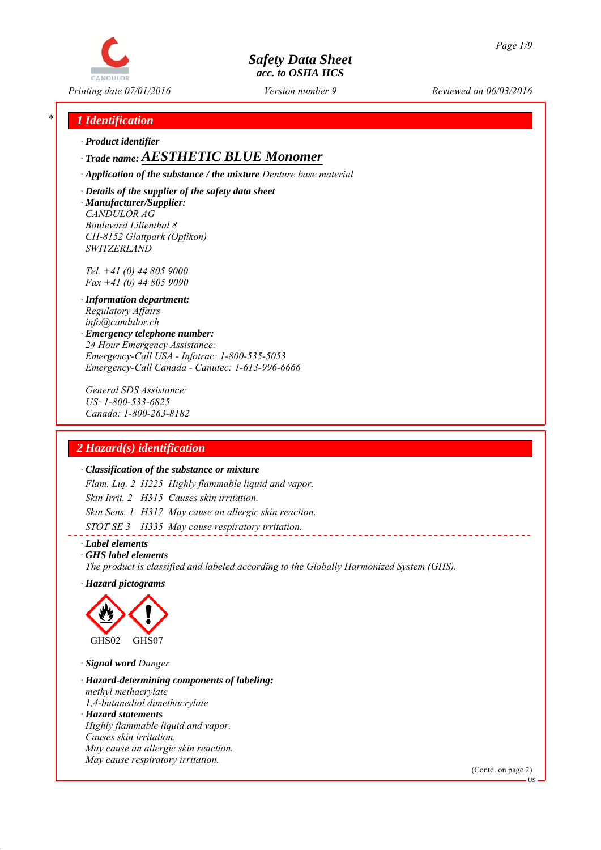

*Printing date 07/01/2016 Reviewed on 06/03/2016 Version number 9*

### *\* 1 Identification*

*∙ Product identifier*

#### *∙ Trade name: AESTHETIC BLUE Monomer*

*∙ Application of the substance / the mixture Denture base material*

*∙ Details of the supplier of the safety data sheet ∙ Manufacturer/Supplier: CANDULOR AG Boulevard Lilienthal 8 CH-8152 Glattpark (Opfikon) SWITZERLAND*

*Tel. +41 (0) 44 805 9000 Fax +41 (0) 44 805 9090*

- *∙ Information department: Regulatory Affairs info@candulor.ch*
- *∙ Emergency telephone number: 24 Hour Emergency Assistance: Emergency-Call USA - Infotrac: 1-800-535-5053 Emergency-Call Canada - Canutec: 1-613-996-6666*

*General SDS Assistance: US: 1-800-533-6825 Canada: 1-800-263-8182*

### *2 Hazard(s) identification*

#### *∙ Classification of the substance or mixture*

*Flam. Liq. 2 H225 Highly flammable liquid and vapor. Skin Irrit. 2 H315 Causes skin irritation. Skin Sens. 1 H317 May cause an allergic skin reaction. STOT SE 3 H335 May cause respiratory irritation.*

*∙ Label elements*

*∙ GHS label elements*

*The product is classified and labeled according to the Globally Harmonized System (GHS).*

*∙ Hazard pictograms*



*∙ Signal word Danger*

- *∙ Hazard-determining components of labeling: methyl methacrylate 1,4-butanediol dimethacrylate*
- *∙ Hazard statements Highly flammable liquid and vapor. Causes skin irritation. May cause an allergic skin reaction. May cause respiratory irritation.*

(Contd. on page 2)

US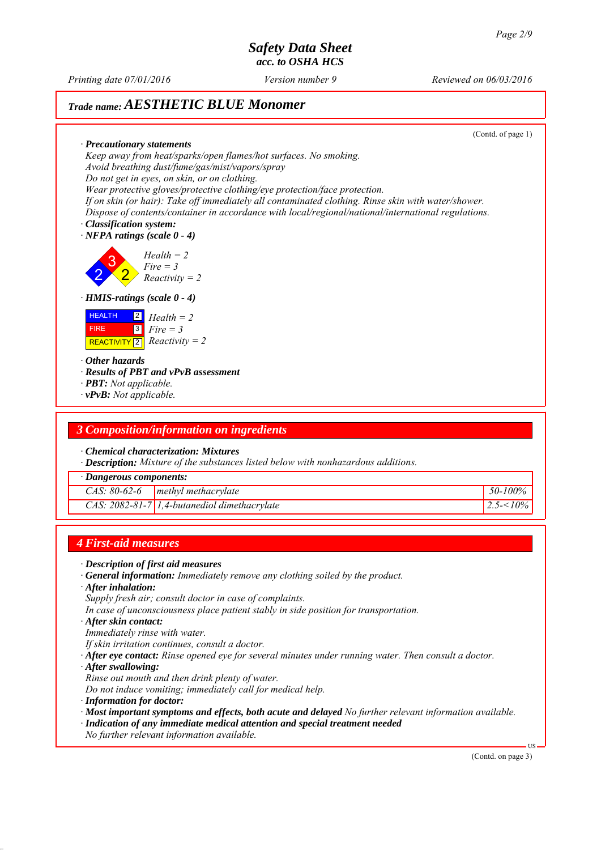*Printing date 07/01/2016 Reviewed on 06/03/2016 Version number 9*

# *Trade name: AESTHETIC BLUE Monomer*

(Contd. of page 1)

*∙ Precautionary statements Keep away from heat/sparks/open flames/hot surfaces. No smoking. Avoid breathing dust/fume/gas/mist/vapors/spray Do not get in eyes, on skin, or on clothing. Wear protective gloves/protective clothing/eye protection/face protection. If on skin (or hair): Take off immediately all contaminated clothing. Rinse skin with water/shower. Dispose of contents/container in accordance with local/regional/national/international regulations.*

*∙ Classification system:*

*∙ NFPA ratings (scale 0 - 4)*

2 3 2 *Health = 2 Fire = 3 Reactivity = 2*

*∙ HMIS-ratings (scale 0 - 4)*

| <b>HEALTH</b> | $\begin{bmatrix} 2 \\ 1 \end{bmatrix}$ Health = 2 |
|---------------|---------------------------------------------------|
| <b>FIRE</b>   | $\boxed{3}$ Fire = 3                              |
|               | REACTIVITY 2 $\big $ Reactivity = 2               |

*∙ Other hazards*

*∙ Results of PBT and vPvB assessment*

- *∙ PBT: Not applicable.*
- *∙ vPvB: Not applicable.*

#### *3 Composition/information on ingredients*

*∙ Chemical characterization: Mixtures*

*∙ Description: Mixture of the substances listed below with nonhazardous additions.*

*∙ Dangerous components:*

| $\triangle AS$ : 80-62-6 | methyl methacrylate                            | 50-100% |
|--------------------------|------------------------------------------------|---------|
|                          | $CAS: 2082-81-7$ 1,4-butanediol dimethacrylate | 10%     |

#### *4 First-aid measures*

- *∙ Description of first aid measures*
- *∙ General information: Immediately remove any clothing soiled by the product.*
- *∙ After inhalation:*
- *Supply fresh air; consult doctor in case of complaints.*
- *In case of unconsciousness place patient stably in side position for transportation.*
- *∙ After skin contact:*
- *Immediately rinse with water.*
- *If skin irritation continues, consult a doctor.*
- *∙ After eye contact: Rinse opened eye for several minutes under running water. Then consult a doctor.*
- *∙ After swallowing:*
- *Rinse out mouth and then drink plenty of water.*
- *Do not induce vomiting; immediately call for medical help.*
- *∙ Information for doctor:*
- *∙ Most important symptoms and effects, both acute and delayed No further relevant information available.*
- *∙ Indication of any immediate medical attention and special treatment needed*
- *No further relevant information available.*

(Contd. on page 3)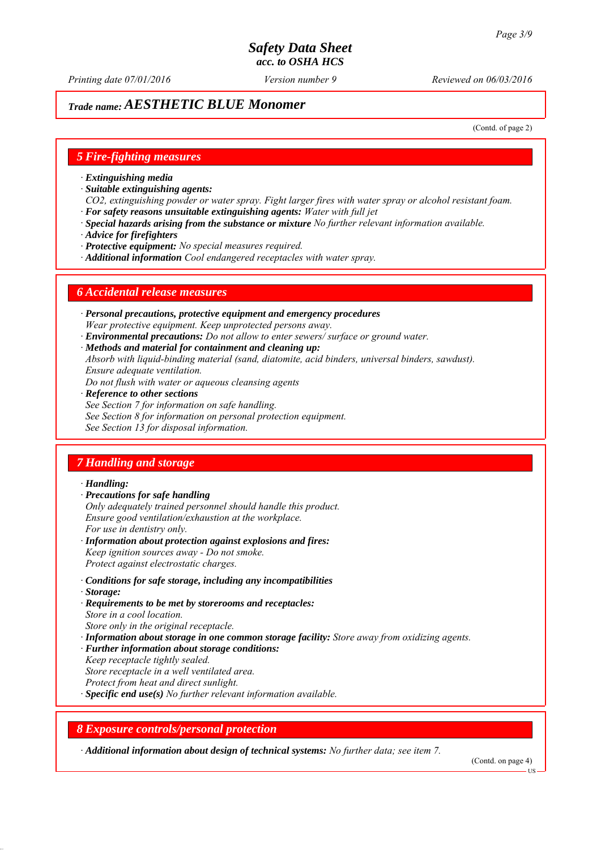*Printing date 07/01/2016 Reviewed on 06/03/2016 Version number 9*

# *Trade name: AESTHETIC BLUE Monomer*

(Contd. of page 2)

#### *5 Fire-fighting measures*

- *∙ Extinguishing media*
- *∙ Suitable extinguishing agents:*
- *CO2, extinguishing powder or water spray. Fight larger fires with water spray or alcohol resistant foam. ∙ For safety reasons unsuitable extinguishing agents: Water with full jet*
- *∙ Special hazards arising from the substance or mixture No further relevant information available.*
- *∙ Advice for firefighters*
- *∙ Protective equipment: No special measures required.*
- *∙ Additional information Cool endangered receptacles with water spray.*

#### *6 Accidental release measures*

- *∙ Personal precautions, protective equipment and emergency procedures Wear protective equipment. Keep unprotected persons away.*
- *∙ Environmental precautions: Do not allow to enter sewers/ surface or ground water.*
- *∙ Methods and material for containment and cleaning up:*
- *Absorb with liquid-binding material (sand, diatomite, acid binders, universal binders, sawdust). Ensure adequate ventilation.*
- *Do not flush with water or aqueous cleansing agents*
- *∙ Reference to other sections*
- *See Section 7 for information on safe handling.*
- *See Section 8 for information on personal protection equipment.*
- *See Section 13 for disposal information.*

### *7 Handling and storage*

#### *∙ Handling:*

- *∙ Precautions for safe handling*
- *Only adequately trained personnel should handle this product. Ensure good ventilation/exhaustion at the workplace. For use in dentistry only.*
- *∙ Information about protection against explosions and fires: Keep ignition sources away - Do not smoke. Protect against electrostatic charges.*
- *∙ Conditions for safe storage, including any incompatibilities*
- *∙ Storage:*
- *∙ Requirements to be met by storerooms and receptacles: Store in a cool location. Store only in the original receptacle.*
- *∙ Information about storage in one common storage facility: Store away from oxidizing agents.*
- *∙ Further information about storage conditions:*
- *Keep receptacle tightly sealed.*
- *Store receptacle in a well ventilated area.*
- *Protect from heat and direct sunlight.*
- *∙ Specific end use(s) No further relevant information available.*

#### *8 Exposure controls/personal protection*

*∙ Additional information about design of technical systems: No further data; see item 7.*

(Contd. on page 4)

**HS**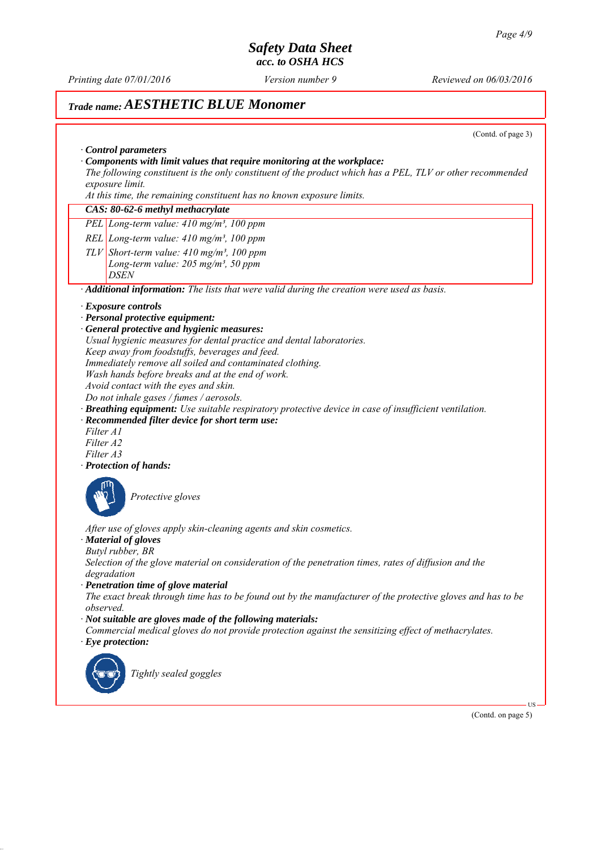*Printing date 07/01/2016 Reviewed on 06/03/2016 Version number 9*

# *Trade name: AESTHETIC BLUE Monomer*

(Contd. of page 3)

|                                     | The following constituent is the only constituent of the product which has a PEL, TLV or other recommended<br>exposure limit.                                                                                                                                                                                                                                                                                                                                                                                                                                                                                                                     |
|-------------------------------------|---------------------------------------------------------------------------------------------------------------------------------------------------------------------------------------------------------------------------------------------------------------------------------------------------------------------------------------------------------------------------------------------------------------------------------------------------------------------------------------------------------------------------------------------------------------------------------------------------------------------------------------------------|
|                                     | At this time, the remaining constituent has no known exposure limits.                                                                                                                                                                                                                                                                                                                                                                                                                                                                                                                                                                             |
|                                     | CAS: 80-62-6 methyl methacrylate                                                                                                                                                                                                                                                                                                                                                                                                                                                                                                                                                                                                                  |
|                                     | PEL Long-term value: 410 mg/m <sup>3</sup> , 100 ppm                                                                                                                                                                                                                                                                                                                                                                                                                                                                                                                                                                                              |
|                                     | REL Long-term value: $410$ mg/m <sup>3</sup> , $100$ ppm                                                                                                                                                                                                                                                                                                                                                                                                                                                                                                                                                                                          |
|                                     | $TLV$ Short-term value: 410 mg/m <sup>3</sup> , 100 ppm                                                                                                                                                                                                                                                                                                                                                                                                                                                                                                                                                                                           |
|                                     | Long-term value: $205$ mg/m <sup>3</sup> , 50 ppm<br><i>DSEN</i>                                                                                                                                                                                                                                                                                                                                                                                                                                                                                                                                                                                  |
|                                     | · Additional information: The lists that were valid during the creation were used as basis.                                                                                                                                                                                                                                                                                                                                                                                                                                                                                                                                                       |
| Filter A1<br>Filter A2<br>Filter A3 | <b>Exposure controls</b><br>· Personal protective equipment:<br>General protective and hygienic measures:<br>Usual hygienic measures for dental practice and dental laboratories.<br>Keep away from foodstuffs, beverages and feed.<br>Immediately remove all soiled and contaminated clothing.<br>Wash hands before breaks and at the end of work.<br>Avoid contact with the eyes and skin.<br>Do not inhale gases / fumes / aerosols.<br>Breathing equipment: Use suitable respiratory protective device in case of insufficient ventilation.<br>· Recommended filter device for short term use:<br>· Protection of hands:<br>Protective gloves |
|                                     | After use of gloves apply skin-cleaning agents and skin cosmetics.<br>· Material of gloves<br>Butyl rubber, BR                                                                                                                                                                                                                                                                                                                                                                                                                                                                                                                                    |
|                                     | Selection of the glove material on consideration of the penetration times, rates of diffusion and the<br>degradation<br>· Penetration time of glove material                                                                                                                                                                                                                                                                                                                                                                                                                                                                                      |
| observed.                           | The exact break through time has to be found out by the manufacturer of the protective gloves and has to be<br>$\cdot$ Not suitable are gloves made of the following materials:                                                                                                                                                                                                                                                                                                                                                                                                                                                                   |
|                                     | Commercial medical gloves do not provide protection against the sensitizing effect of methacrylates.<br>$\cdot$ Eye protection:                                                                                                                                                                                                                                                                                                                                                                                                                                                                                                                   |
|                                     | Tightly sealed goggles                                                                                                                                                                                                                                                                                                                                                                                                                                                                                                                                                                                                                            |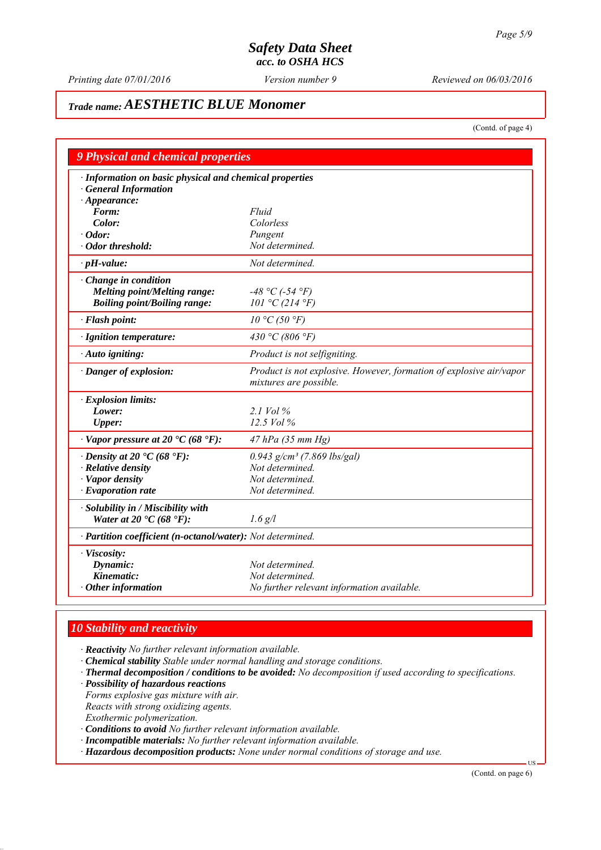*Printing date 07/01/2016 Reviewed on 06/03/2016 Version number 9*

# *Trade name: AESTHETIC BLUE Monomer*

(Contd. of page 4)

| <b>9 Physical and chemical properties</b>                                               |                                                                                               |  |
|-----------------------------------------------------------------------------------------|-----------------------------------------------------------------------------------------------|--|
| · Information on basic physical and chemical properties                                 |                                                                                               |  |
| <b>General Information</b>                                                              |                                                                                               |  |
| $\cdot$ Appearance:                                                                     |                                                                                               |  |
| Form:                                                                                   | Fluid                                                                                         |  |
| Color:                                                                                  | Colorless                                                                                     |  |
| · Odor:                                                                                 | Pungent                                                                                       |  |
| · Odor threshold:                                                                       | Not determined.                                                                               |  |
| $\cdot$ pH-value:                                                                       | Not determined.                                                                               |  |
| $\cdot$ Change in condition                                                             |                                                                                               |  |
| Melting point/Melting range:                                                            | $-48 °C$ (-54 °F)                                                                             |  |
| <b>Boiling point/Boiling range:</b>                                                     | 101 °C (214 °F)                                                                               |  |
| · Flash point:                                                                          | $10 \degree C$ (50 $\degree F$ )                                                              |  |
| · Ignition temperature:                                                                 | 430 °C (806 °F)                                                                               |  |
| · Auto igniting:                                                                        | Product is not selfigniting.                                                                  |  |
| · Danger of explosion:                                                                  | Product is not explosive. However, formation of explosive air/vapor<br>mixtures are possible. |  |
| · Explosion limits:                                                                     |                                                                                               |  |
| Lower:                                                                                  | 2.1 Vol $\%$                                                                                  |  |
| <b>Upper:</b>                                                                           | 12.5 Vol %                                                                                    |  |
| $\cdot$ Vapor pressure at 20 $\cdot$ C (68 $\cdot$ F):                                  | 47 hPa (35 mm Hg)                                                                             |  |
| $\cdot$ Density at 20 $\cdot$ C (68 $\cdot$ F):                                         | $0.943$ g/cm <sup>3</sup> (7.869 lbs/gal)                                                     |  |
| $\cdot$ Relative density                                                                | Not determined.                                                                               |  |
| · Vapor density                                                                         | Not determined.                                                                               |  |
| $\cdot$ Evaporation rate                                                                | Not determined.                                                                               |  |
| · Solubility in / Miscibility with<br>Water at 20 $\textdegree$ C (68 $\textdegree$ F): | $1.6$ g/l                                                                                     |  |
| · Partition coefficient (n-octanol/water): Not determined.                              |                                                                                               |  |
| · Viscosity:                                                                            |                                                                                               |  |
| Dynamic:                                                                                | Not determined.                                                                               |  |
| Kinematic:                                                                              | Not determined.                                                                               |  |
| Other information                                                                       | No further relevant information available.                                                    |  |

### *10 Stability and reactivity*

*∙ Reactivity No further relevant information available.*

- *∙ Chemical stability Stable under normal handling and storage conditions.*
- *∙ Thermal decomposition / conditions to be avoided: No decomposition if used according to specifications.*
- *∙ Possibility of hazardous reactions*

*Forms explosive gas mixture with air.*

*Reacts with strong oxidizing agents.*

*Exothermic polymerization.*

- *∙ Conditions to avoid No further relevant information available.*
- *∙ Incompatible materials: No further relevant information available.*
- *∙ Hazardous decomposition products: None under normal conditions of storage and use.*

(Contd. on page 6)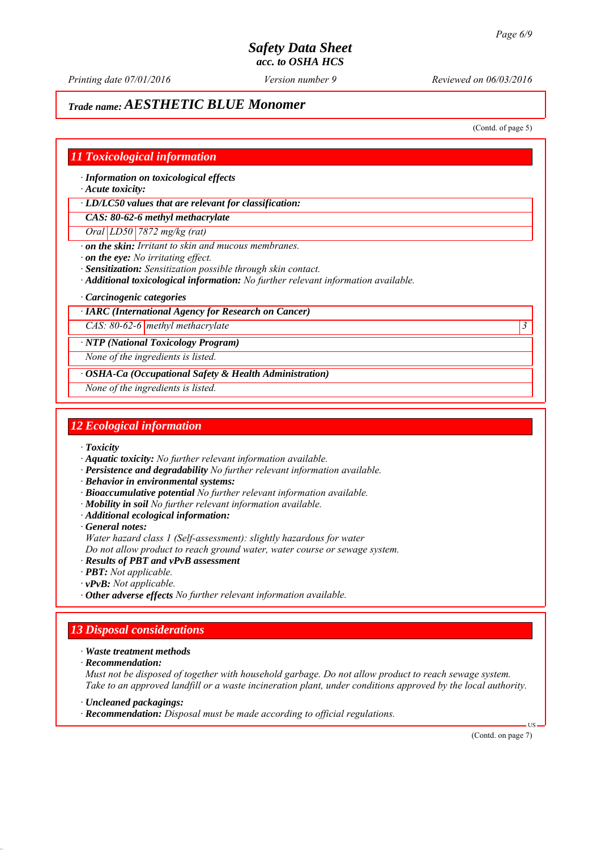*Printing date 07/01/2016 Reviewed on 06/03/2016 Version number 9*

# *Trade name: AESTHETIC BLUE Monomer*

(Contd. of page 5)

#### *11 Toxicological information*

*∙ Information on toxicological effects*

*∙ Acute toxicity:*

*∙ LD/LC50 values that are relevant for classification:*

*CAS: 80-62-6 methyl methacrylate*

*Oral LD50 7872 mg/kg (rat)*

*∙ on the skin: Irritant to skin and mucous membranes.*

*∙ on the eye: No irritating effect.*

*∙ Sensitization: Sensitization possible through skin contact.*

*∙ Additional toxicological information: No further relevant information available.*

*∙ Carcinogenic categories*

#### *∙ IARC (International Agency for Research on Cancer)*

*CAS: 80-62-6 methyl methacrylate 3* 

*∙ NTP (National Toxicology Program)*

*None of the ingredients is listed.*

*∙ OSHA-Ca (Occupational Safety & Health Administration)*

*None of the ingredients is listed.*

#### *12 Ecological information*

*∙ Toxicity*

*∙ Aquatic toxicity: No further relevant information available.*

- *∙ Persistence and degradability No further relevant information available.*
- *∙ Behavior in environmental systems:*
- *∙ Bioaccumulative potential No further relevant information available.*
- *∙ Mobility in soil No further relevant information available.*
- *∙ Additional ecological information:*

*∙ General notes:*

*Water hazard class 1 (Self-assessment): slightly hazardous for water*

*Do not allow product to reach ground water, water course or sewage system.*

*∙ Results of PBT and vPvB assessment*

- *∙ PBT: Not applicable.*
- *∙ vPvB: Not applicable.*

*∙ Other adverse effects No further relevant information available.*

# *13 Disposal considerations*

*∙ Waste treatment methods*

*∙ Recommendation:*

*Must not be disposed of together with household garbage. Do not allow product to reach sewage system. Take to an approved landfill or a waste incineration plant, under conditions approved by the local authority.*

*∙ Uncleaned packagings:*

*∙ Recommendation: Disposal must be made according to official regulations.*

(Contd. on page 7)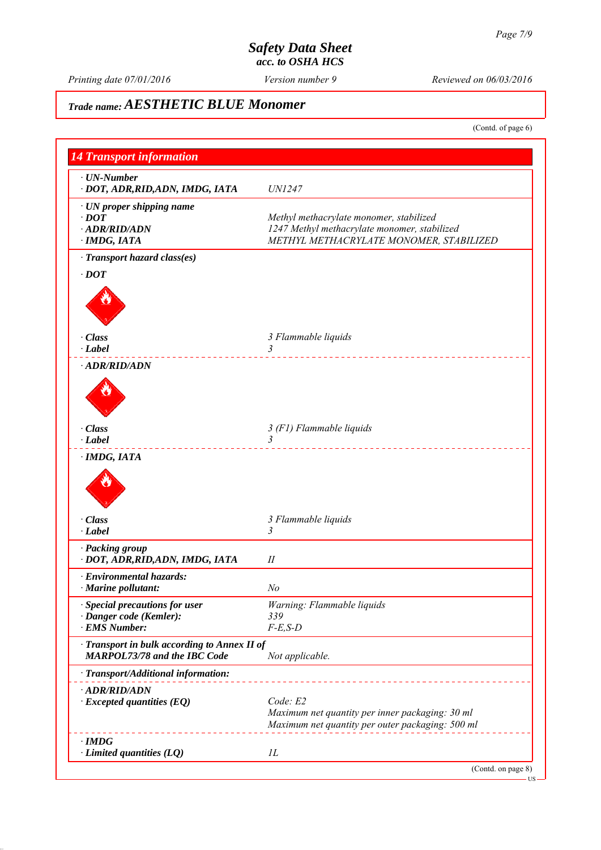*Printing date 07/01/2016 Reviewed on 06/03/2016 Version number 9*

# *Trade name: AESTHETIC BLUE Monomer*

(Contd. of page 6)

| <b>14 Transport information</b>                                                     |                                                                                                                                    |
|-------------------------------------------------------------------------------------|------------------------------------------------------------------------------------------------------------------------------------|
| $\cdot$ UN-Number<br>· DOT, ADR, RID, ADN, IMDG, IATA                               | <b>UN1247</b>                                                                                                                      |
| · UN proper shipping name<br>$\cdot$ DOT<br>$\cdot$ ADR/RID/ADN<br>· IMDG, IATA     | Methyl methacrylate monomer, stabilized<br>1247 Methyl methacrylate monomer, stabilized<br>METHYL METHACRYLATE MONOMER, STABILIZED |
| · Transport hazard class(es)                                                        |                                                                                                                                    |
| $\cdot$ DOT                                                                         |                                                                                                                                    |
| · Class                                                                             | 3 Flammable liquids                                                                                                                |
| $\cdot$ Label                                                                       | 3<br>.                                                                                                                             |
| · ADR/RID/ADN                                                                       |                                                                                                                                    |
| · Class                                                                             |                                                                                                                                    |
| $\cdot$ Label                                                                       | 3 (F1) Flammable liquids<br>$\overline{3}$                                                                                         |
| · IMDG, IATA                                                                        |                                                                                                                                    |
| · Class                                                                             | 3 Flammable liquids                                                                                                                |
| $\cdot$ Label                                                                       | 3                                                                                                                                  |
| · Packing group<br>· DOT, ADR, RID, ADN, IMDG, IATA                                 | П                                                                                                                                  |
| · Environmental hazards:                                                            |                                                                                                                                    |
| $\cdot$ Marine pollutant:                                                           | N <sub>o</sub>                                                                                                                     |
| $\cdot$ Special precautions for user<br>· Danger code (Kemler):                     | Warning: Flammable liquids<br>339                                                                                                  |
| · EMS Number:                                                                       | $F-E$ , $S-D$                                                                                                                      |
| · Transport in bulk according to Annex II of<br><b>MARPOL73/78 and the IBC Code</b> | Not applicable.                                                                                                                    |
| · Transport/Additional information:                                                 |                                                                                                                                    |
| · ADR/RID/ADN<br>$\cdot$ Excepted quantities (EQ)                                   | Code: E2<br>Maximum net quantity per inner packaging: 30 ml<br>Maximum net quantity per outer packaging: 500 ml                    |
| $\cdot$ IMDG<br>$\cdot$ Limited quantities (LQ)                                     | $_{1L}$                                                                                                                            |
|                                                                                     | (Contd. on page 8)                                                                                                                 |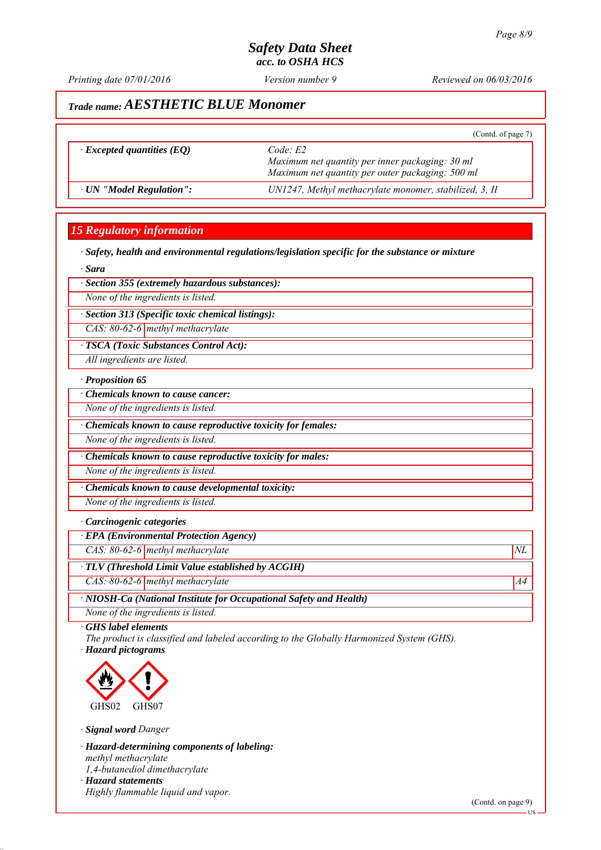*Printing date 07/01/2016 Reviewed on 06/03/2016 Version number 9*

# *Trade name: AESTHETIC BLUE Monomer*

|                                  | (Contd. of page 7)                                                                                             |
|----------------------------------|----------------------------------------------------------------------------------------------------------------|
| $\cdot$ Excepted quantities (EQ) | Code E2<br>Maximum net quantity per inner packaging: 30 ml<br>Maximum net quantity per outer packaging: 500 ml |
| · UN "Model Regulation":         | UN1247, Methyl methacrylate monomer, stabilized, 3, II                                                         |
|                                  |                                                                                                                |

#### *15 Regulatory information*

*∙ Safety, health and environmental regulations/legislation specific for the substance or mixture*

*∙ Sara*

*∙ Section 355 (extremely hazardous substances):*

*None of the ingredients is listed.*

*∙ Section 313 (Specific toxic chemical listings):*

*CAS: 80-62-6 methyl methacrylate*

*∙ TSCA (Toxic Substances Control Act):*

*All ingredients are listed.*

#### *∙ Proposition 65*

*∙ Chemicals known to cause cancer:*

*None of the ingredients is listed.*

*∙ Chemicals known to cause reproductive toxicity for females:*

*None of the ingredients is listed.*

*∙ Chemicals known to cause reproductive toxicity for males:*

*None of the ingredients is listed.*

*∙ Chemicals known to cause developmental toxicity:*

*None of the ingredients is listed.*

#### *∙ Carcinogenic categories*

*∙ EPA (Environmental Protection Agency)*

*CAS: 80-62-6 methyl methacrylate*  $NL$ 

*∙ TLV (Threshold Limit Value established by ACGIH)*

*CAS: 80-62-6 methyl methacrylate* A4<sup>4</sup>

*∙ NIOSH-Ca (National Institute for Occupational Safety and Health)*

*None of the ingredients is listed.*

*∙ GHS label elements*

*The product is classified and labeled according to the Globally Harmonized System (GHS). ∙ Hazard pictograms*



*∙ Signal word Danger*

*∙ Hazard-determining components of labeling: methyl methacrylate 1,4-butanediol dimethacrylate ∙ Hazard statements Highly flammable liquid and vapor.*